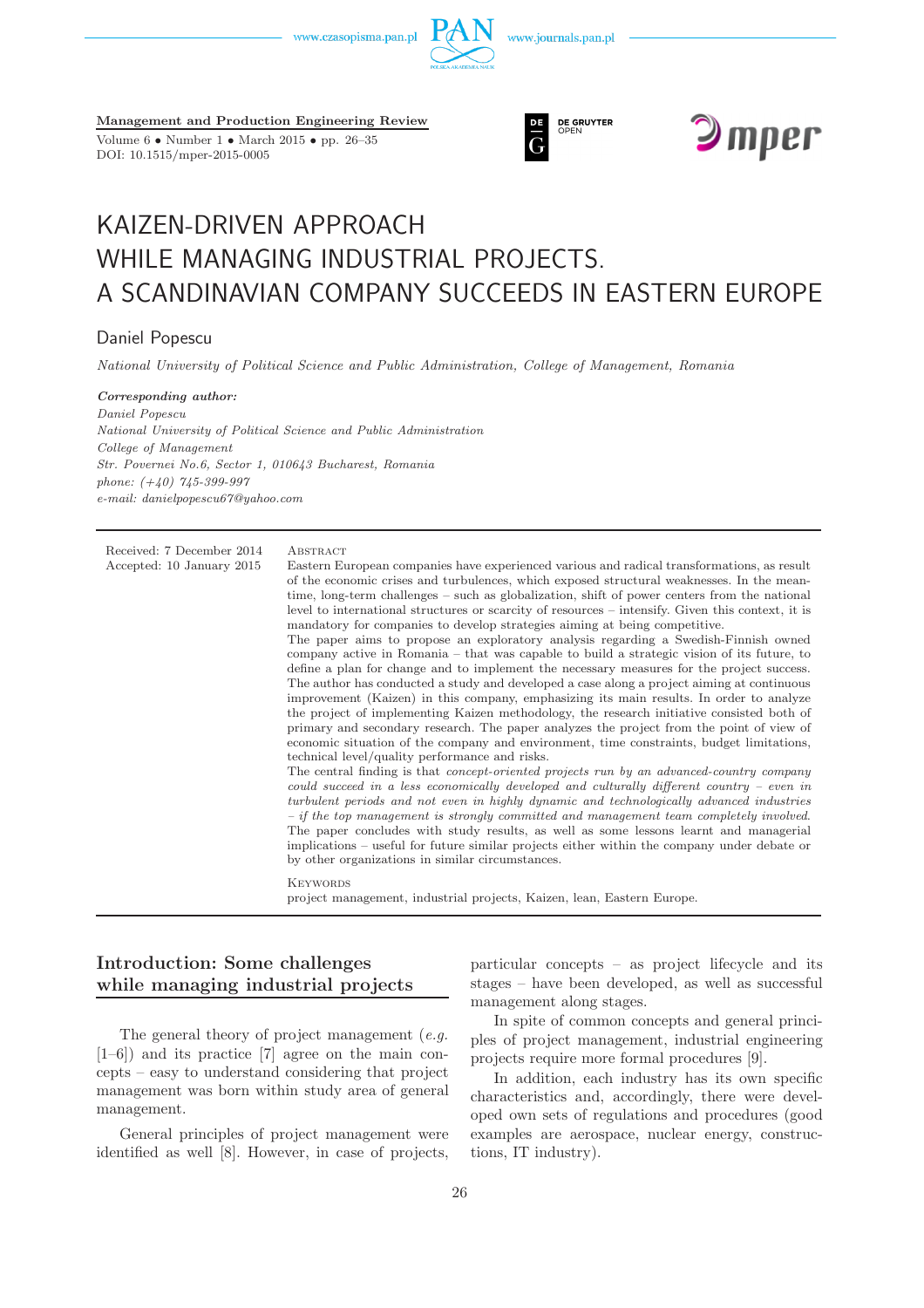



**DE GRUYTER** 

**Imper** 

# KAIZEN-DRIVEN APPROACH WHILE MANAGING INDUSTRIAL PROJECTS. A SCANDINAVIAN COMPANY SUCCEEDS IN EASTERN EUROPE

# Daniel Popescu

*National University of Political Science and Public Administration, College of Management, Romania*

#### *Corresponding author:*

*Daniel Popescu National University of Political Science and Public Administration College of Management Str. Povernei No.6, Sector 1, 010643 Bucharest, Romania phone: (+40) 745-399-997 e-mail: danielpopescu67@yahoo.com*

**Management and Production Engineering Review**

Volume 6 • Number 1 • March 2015 • pp. 26–35

DOI: 10.1515/mper-2015-0005

Received: 7 December 2014 ABSTRACT Accepted: 10 January 2015 Eastern European companies have experienced various and radical transformations, as result of the economic crises and turbulences, which exposed structural weaknesses. In the meantime, long-term challenges – such as globalization, shift of power centers from the national level to international structures or scarcity of resources – intensify. Given this context, it is mandatory for companies to develop strategies aiming at being competitive. The paper aims to propose an exploratory analysis regarding a Swedish-Finnish owned company active in Romania – that was capable to build a strategic vision of its future, to define a plan for change and to implement the necessary measures for the project success. The author has conducted a study and developed a case along a project aiming at continuous improvement (Kaizen) in this company, emphasizing its main results. In order to analyze the project of implementing Kaizen methodology, the research initiative consisted both of primary and secondary research. The paper analyzes the project from the point of view of economic situation of the company and environment, time constraints, budget limitations, technical level/quality performance and risks. The central finding is that *concept-oriented projects run by an advanced-country company could succeed in a less economically developed and culturally different country – even in turbulent periods and not even in highly dynamic and technologically advanced industries – if the top management is strongly committed and management team completely involved*. The paper concludes with study results, as well as some lessons learnt and managerial implications – useful for future similar projects either within the company under debate or by other organizations in similar circumstances. **KEYWORDS** project management, industrial projects, Kaizen, lean, Eastern Europe.

# **Introduction: Some challenges while managing industrial projects**

The general theory of project management (*e.g.* [1–6]) and its practice [7] agree on the main concepts – easy to understand considering that project management was born within study area of general management.

General principles of project management were identified as well [8]. However, in case of projects, particular concepts – as project lifecycle and its stages – have been developed, as well as successful management along stages.

In spite of common concepts and general principles of project management, industrial engineering projects require more formal procedures [9].

In addition, each industry has its own specific characteristics and, accordingly, there were developed own sets of regulations and procedures (good examples are aerospace, nuclear energy, constructions, IT industry).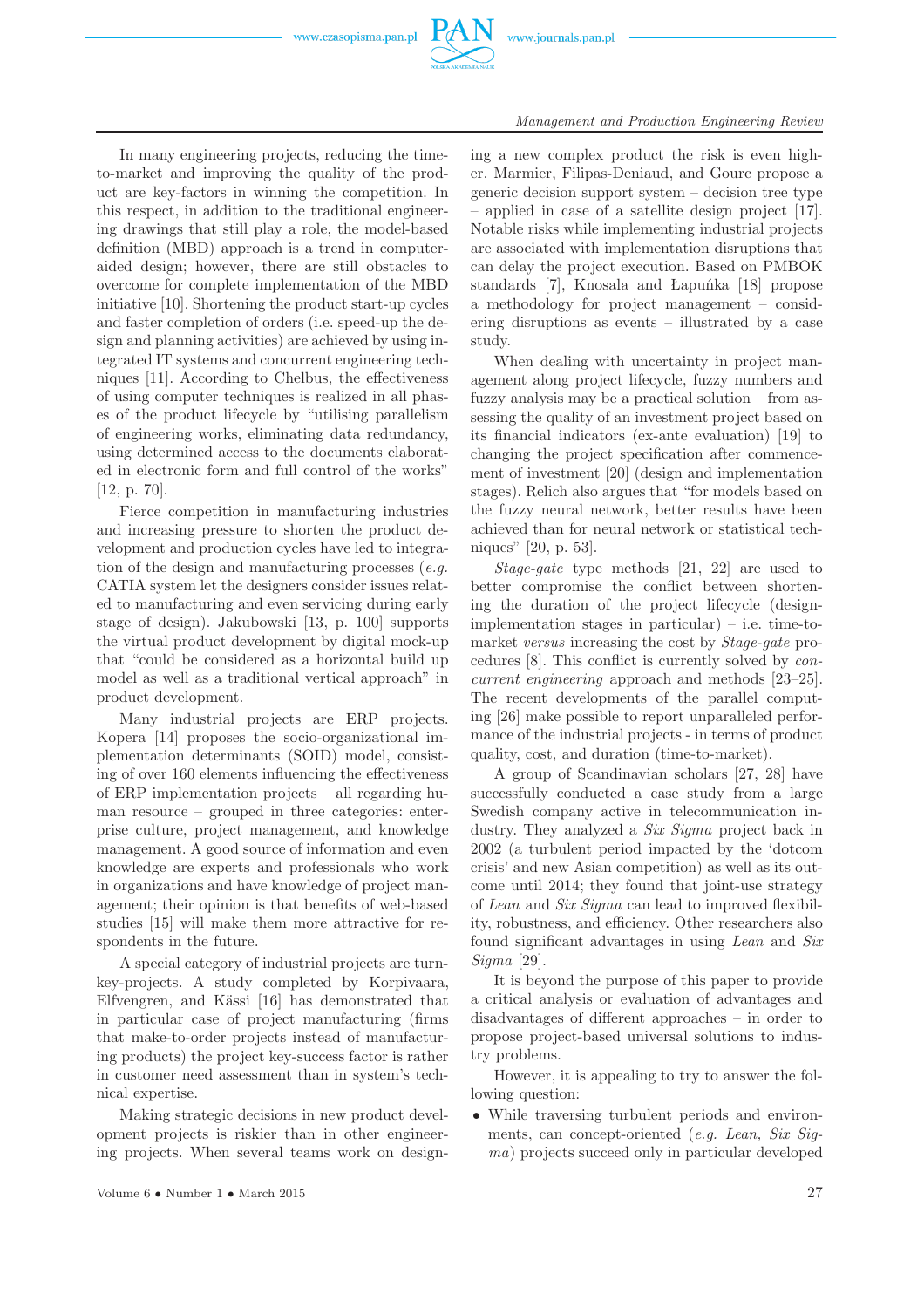

*Management and Production Engineering Review*

In many engineering projects, reducing the timeto-market and improving the quality of the product are key-factors in winning the competition. In this respect, in addition to the traditional engineering drawings that still play a role, the model-based definition (MBD) approach is a trend in computeraided design; however, there are still obstacles to overcome for complete implementation of the MBD initiative [10]. Shortening the product start-up cycles and faster completion of orders (i.e. speed-up the design and planning activities) are achieved by using integrated IT systems and concurrent engineering techniques [11]. According to Chelbus, the effectiveness of using computer techniques is realized in all phases of the product lifecycle by "utilising parallelism of engineering works, eliminating data redundancy, using determined access to the documents elaborated in electronic form and full control of the works" [12, p. 70].

Fierce competition in manufacturing industries and increasing pressure to shorten the product development and production cycles have led to integration of the design and manufacturing processes (*e.g.* CATIA system let the designers consider issues related to manufacturing and even servicing during early stage of design). Jakubowski [13, p. 100] supports the virtual product development by digital mock-up that "could be considered as a horizontal build up model as well as a traditional vertical approach" in product development.

Many industrial projects are ERP projects. Kopera [14] proposes the socio-organizational implementation determinants (SOID) model, consisting of over 160 elements influencing the effectiveness of ERP implementation projects – all regarding human resource – grouped in three categories: enterprise culture, project management, and knowledge management. A good source of information and even knowledge are experts and professionals who work in organizations and have knowledge of project management; their opinion is that benefits of web-based studies [15] will make them more attractive for respondents in the future.

A special category of industrial projects are turnkey-projects. A study completed by Korpivaara, Elfvengren, and Kässi [16] has demonstrated that in particular case of project manufacturing (firms that make-to-order projects instead of manufacturing products) the project key-success factor is rather in customer need assessment than in system's technical expertise.

Making strategic decisions in new product development projects is riskier than in other engineering projects. When several teams work on designing a new complex product the risk is even higher. Marmier, Filipas-Deniaud, and Gourc propose a generic decision support system – decision tree type – applied in case of a satellite design project [17]. Notable risks while implementing industrial projects are associated with implementation disruptions that can delay the project execution. Based on PMBOK standards [7], Knosala and Łapuńka [18] propose a methodology for project management – considering disruptions as events – illustrated by a case study.

When dealing with uncertainty in project management along project lifecycle, fuzzy numbers and fuzzy analysis may be a practical solution – from assessing the quality of an investment project based on its financial indicators (ex-ante evaluation) [19] to changing the project specification after commencement of investment [20] (design and implementation stages). Relich also argues that "for models based on the fuzzy neural network, better results have been achieved than for neural network or statistical techniques" [20, p. 53].

*Stage-gate* type methods [21, 22] are used to better compromise the conflict between shortening the duration of the project lifecycle (designimplementation stages in particular) – i.e. time-tomarket *versus* increasing the cost by *Stage-gate* procedures [8]. This conflict is currently solved by *concurrent engineering* approach and methods [23–25]. The recent developments of the parallel computing [26] make possible to report unparalleled performance of the industrial projects - in terms of product quality, cost, and duration (time-to-market).

A group of Scandinavian scholars [27, 28] have successfully conducted a case study from a large Swedish company active in telecommunication industry. They analyzed a *Six Sigma* project back in 2002 (a turbulent period impacted by the 'dotcom crisis' and new Asian competition) as well as its outcome until 2014; they found that joint-use strategy of *Lean* and *Six Sigma* can lead to improved flexibility, robustness, and efficiency. Other researchers also found significant advantages in using *Lean* and *Six Sigma* [29].

It is beyond the purpose of this paper to provide a critical analysis or evaluation of advantages and disadvantages of different approaches – in order to propose project-based universal solutions to industry problems.

However, it is appealing to try to answer the following question:

• While traversing turbulent periods and environments, can concept-oriented (*e.g. Lean, Six Sigma*) projects succeed only in particular developed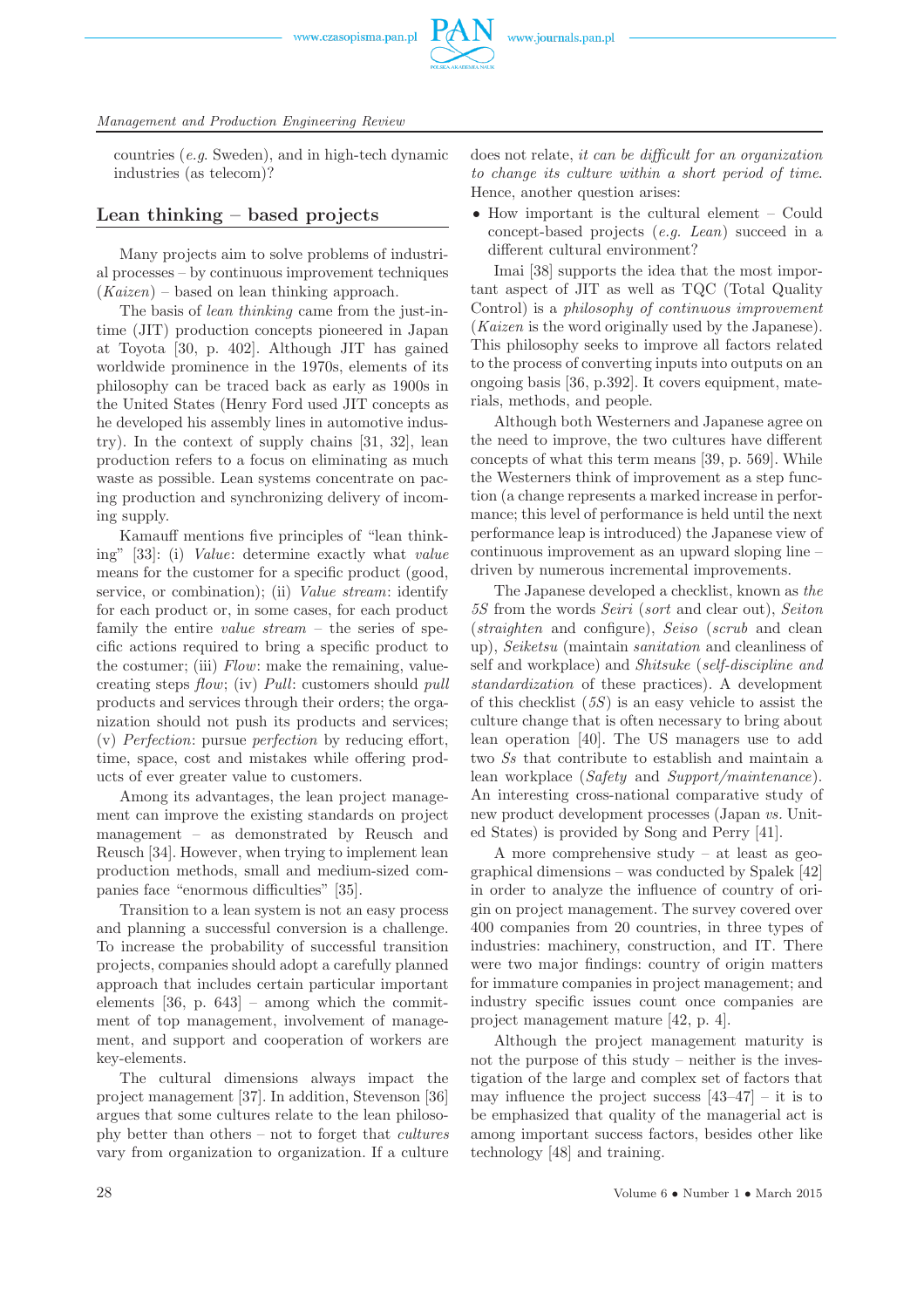

countries (*e.g*. Sweden), and in high-tech dynamic industries (as telecom)?

# **Lean thinking – based projects**

Many projects aim to solve problems of industrial processes – by continuous improvement techniques (*Kaizen*) – based on lean thinking approach.

The basis of *lean thinking* came from the just-intime (JIT) production concepts pioneered in Japan at Toyota [30, p. 402]. Although JIT has gained worldwide prominence in the 1970s, elements of its philosophy can be traced back as early as 1900s in the United States (Henry Ford used JIT concepts as he developed his assembly lines in automotive industry). In the context of supply chains [31, 32], lean production refers to a focus on eliminating as much waste as possible. Lean systems concentrate on pacing production and synchronizing delivery of incoming supply.

Kamauff mentions five principles of "lean thinking" [33]: (i) *Value*: determine exactly what *value* means for the customer for a specific product (good, service, or combination); (ii) *Value stream*: identify for each product or, in some cases, for each product family the entire *value stream* – the series of specific actions required to bring a specific product to the costumer; (iii) *Flow*: make the remaining, valuecreating steps *flow*; (iv) *Pull*: customers should *pull* products and services through their orders; the organization should not push its products and services; (v) *Perfection*: pursue *perfection* by reducing effort, time, space, cost and mistakes while offering products of ever greater value to customers.

Among its advantages, the lean project management can improve the existing standards on project management – as demonstrated by Reusch and Reusch [34]. However, when trying to implement lean production methods, small and medium-sized companies face "enormous difficulties" [35].

Transition to a lean system is not an easy process and planning a successful conversion is a challenge. To increase the probability of successful transition projects, companies should adopt a carefully planned approach that includes certain particular important elements  $[36, p. 643]$  – among which the commitment of top management, involvement of management, and support and cooperation of workers are key-elements.

The cultural dimensions always impact the project management [37]. In addition, Stevenson [36] argues that some cultures relate to the lean philosophy better than others – not to forget that *cultures* vary from organization to organization. If a culture

does not relate, *it can be difficult for an organization to change its culture within a short period of time*. Hence, another question arises:

• How important is the cultural element – Could concept-based projects (*e.g. Lean*) succeed in a different cultural environment?

Imai [38] supports the idea that the most important aspect of JIT as well as TQC (Total Quality Control) is a *philosophy of continuous improvement* (*Kaizen* is the word originally used by the Japanese). This philosophy seeks to improve all factors related to the process of converting inputs into outputs on an ongoing basis [36, p.392]. It covers equipment, materials, methods, and people.

Although both Westerners and Japanese agree on the need to improve, the two cultures have different concepts of what this term means [39, p. 569]. While the Westerners think of improvement as a step function (a change represents a marked increase in performance; this level of performance is held until the next performance leap is introduced) the Japanese view of continuous improvement as an upward sloping line – driven by numerous incremental improvements.

The Japanese developed a checklist, known as *the 5S* from the words *Seiri* (*sort* and clear out), *Seiton* (*straighten* and configure), *Seiso* (*scrub* and clean up), *Seiketsu* (maintain *sanitation* and cleanliness of self and workplace) and *Shitsuke* (*self-discipline and standardization* of these practices). A development of this checklist (*5S*) is an easy vehicle to assist the culture change that is often necessary to bring about lean operation [40]. The US managers use to add two *Ss* that contribute to establish and maintain a lean workplace (*Safety* and *Support/maintenance*). An interesting cross-national comparative study of new product development processes (Japan *vs.* United States) is provided by Song and Perry [41].

A more comprehensive study – at least as geographical dimensions – was conducted by Spalek [42] in order to analyze the influence of country of origin on project management. The survey covered over 400 companies from 20 countries, in three types of industries: machinery, construction, and IT. There were two major findings: country of origin matters for immature companies in project management; and industry specific issues count once companies are project management mature [42, p. 4].

Although the project management maturity is not the purpose of this study – neither is the investigation of the large and complex set of factors that may influence the project success  $[43-47]$  – it is to be emphasized that quality of the managerial act is among important success factors, besides other like technology [48] and training.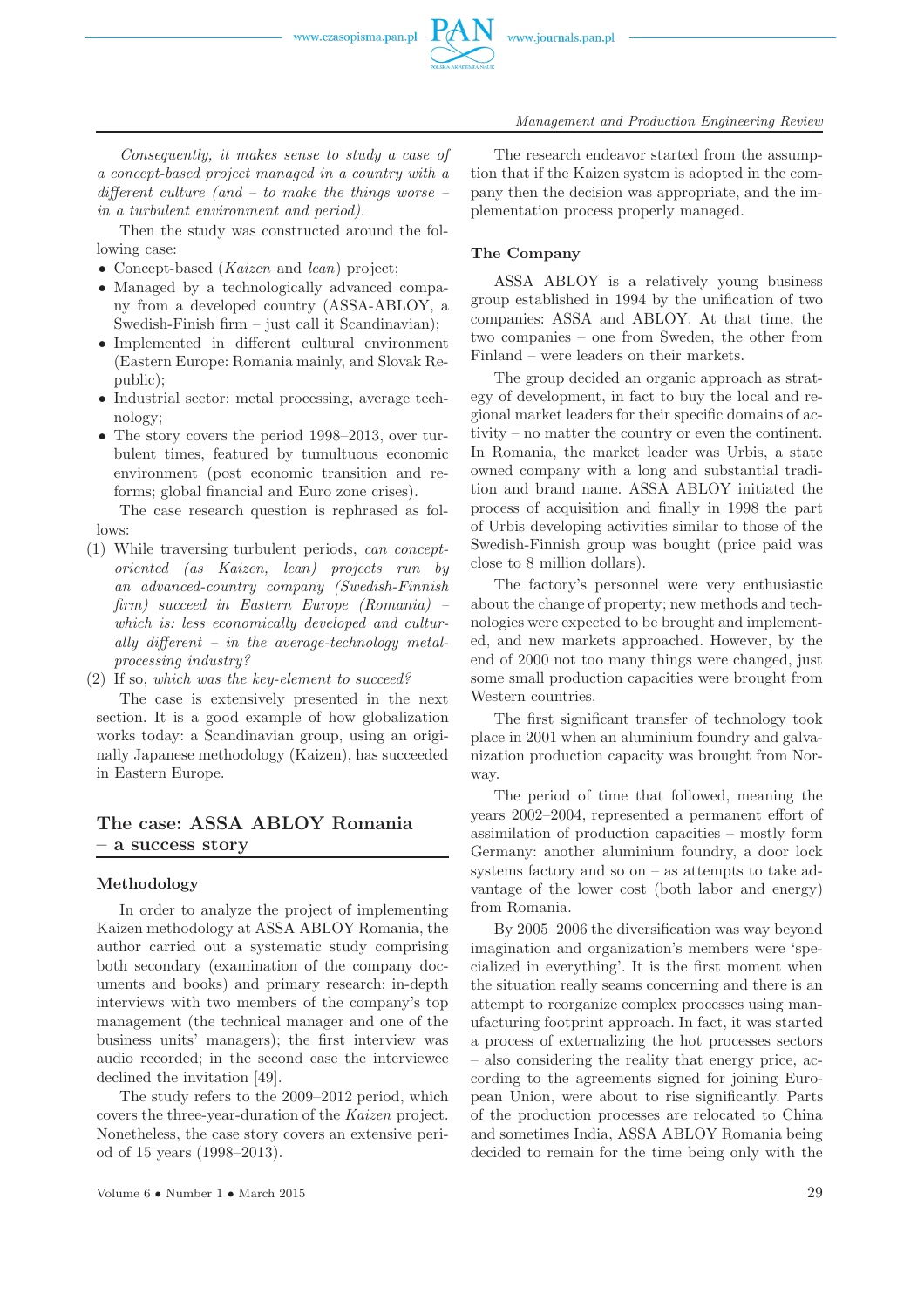*Consequently, it makes sense to study a case of a concept-based project managed in a country with a different culture (and – to make the things worse – in a turbulent environment and period).*

Then the study was constructed around the following case:

- Concept-based (*Kaizen* and *lean*) project;
- Managed by a technologically advanced company from a developed country (ASSA-ABLOY, a Swedish-Finish firm – just call it Scandinavian);
- Implemented in different cultural environment (Eastern Europe: Romania mainly, and Slovak Republic);
- Industrial sector: metal processing, average technology;
- The story covers the period 1998–2013, over turbulent times, featured by tumultuous economic environment (post economic transition and reforms; global financial and Euro zone crises).

The case research question is rephrased as follows:

- (1) While traversing turbulent periods, *can conceptoriented (as Kaizen, lean) projects run by an advanced-country company (Swedish-Finnish firm) succeed in Eastern Europe (Romania) – which is: less economically developed and culturally different – in the average-technology metalprocessing industry?*
- (2) If so, *which was the key-element to succeed?*

The case is extensively presented in the next section. It is a good example of how globalization works today: a Scandinavian group, using an originally Japanese methodology (Kaizen), has succeeded in Eastern Europe.

# **The case: ASSA ABLOY Romania – a success story**

#### **Methodology**

In order to analyze the project of implementing Kaizen methodology at ASSA ABLOY Romania, the author carried out a systematic study comprising both secondary (examination of the company documents and books) and primary research: in-depth interviews with two members of the company's top management (the technical manager and one of the business units' managers); the first interview was audio recorded; in the second case the interviewee declined the invitation [49].

The study refers to the 2009–2012 period, which covers the three-year-duration of the *Kaizen* project. Nonetheless, the case story covers an extensive period of 15 years (1998–2013).

Volume  $6 \cdot \text{Number 1} \cdot \text{March 2015}$  29

The research endeavor started from the assumption that if the Kaizen system is adopted in the company then the decision was appropriate, and the implementation process properly managed.

## **The Company**

ASSA ABLOY is a relatively young business group established in 1994 by the unification of two companies: ASSA and ABLOY. At that time, the two companies – one from Sweden, the other from Finland – were leaders on their markets.

The group decided an organic approach as strategy of development, in fact to buy the local and regional market leaders for their specific domains of activity – no matter the country or even the continent. In Romania, the market leader was Urbis, a state owned company with a long and substantial tradition and brand name. ASSA ABLOY initiated the process of acquisition and finally in 1998 the part of Urbis developing activities similar to those of the Swedish-Finnish group was bought (price paid was close to 8 million dollars).

The factory's personnel were very enthusiastic about the change of property; new methods and technologies were expected to be brought and implemented, and new markets approached. However, by the end of 2000 not too many things were changed, just some small production capacities were brought from Western countries.

The first significant transfer of technology took place in 2001 when an aluminium foundry and galvanization production capacity was brought from Norway.

The period of time that followed, meaning the years 2002–2004, represented a permanent effort of assimilation of production capacities – mostly form Germany: another aluminium foundry, a door lock systems factory and so on – as attempts to take advantage of the lower cost (both labor and energy) from Romania.

By 2005–2006 the diversification was way beyond imagination and organization's members were 'specialized in everything'. It is the first moment when the situation really seams concerning and there is an attempt to reorganize complex processes using manufacturing footprint approach. In fact, it was started a process of externalizing the hot processes sectors – also considering the reality that energy price, according to the agreements signed for joining European Union, were about to rise significantly. Parts of the production processes are relocated to China and sometimes India, ASSA ABLOY Romania being decided to remain for the time being only with the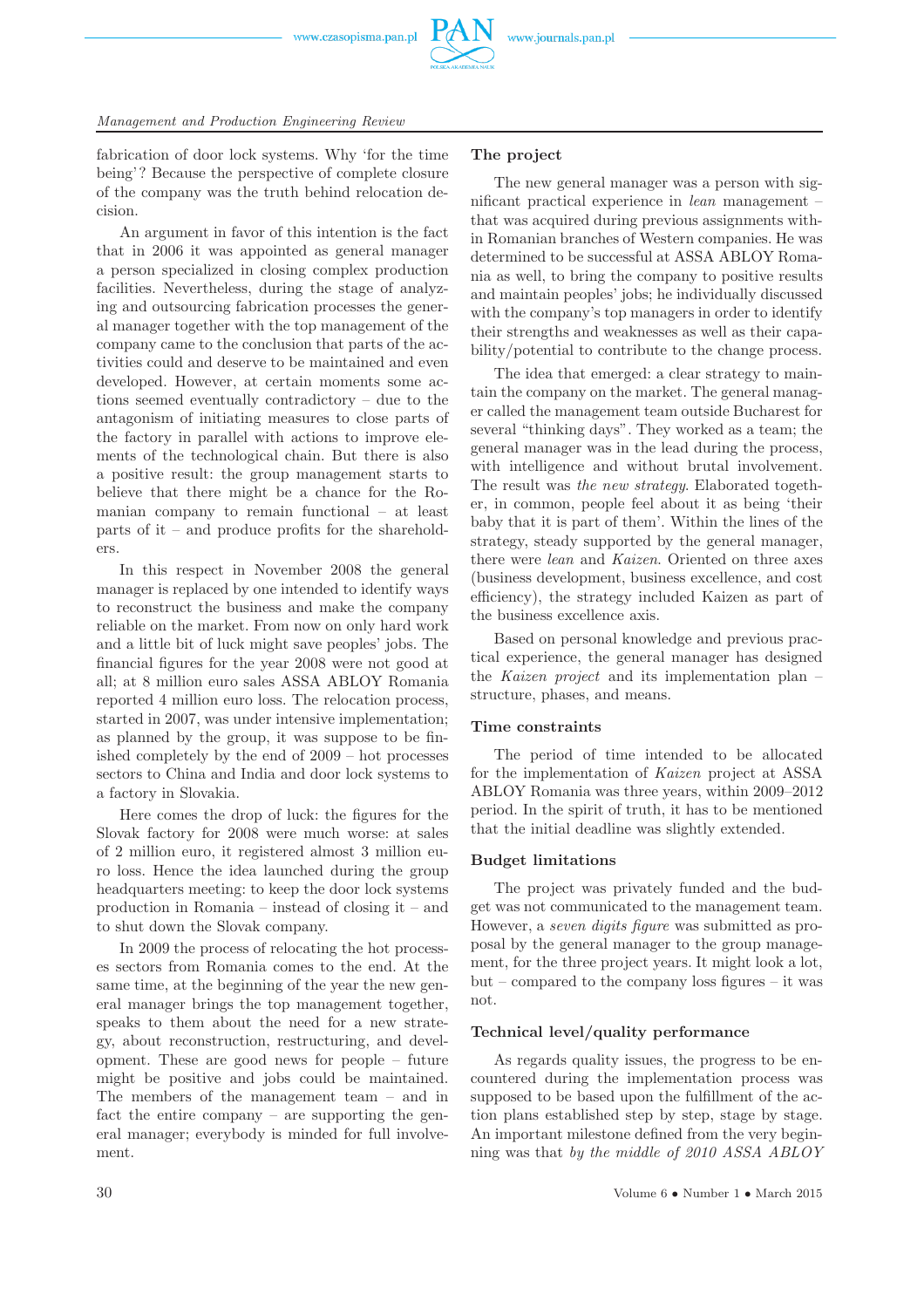

fabrication of door lock systems. Why 'for the time being'? Because the perspective of complete closure of the company was the truth behind relocation decision.

An argument in favor of this intention is the fact that in 2006 it was appointed as general manager a person specialized in closing complex production facilities. Nevertheless, during the stage of analyzing and outsourcing fabrication processes the general manager together with the top management of the company came to the conclusion that parts of the activities could and deserve to be maintained and even developed. However, at certain moments some actions seemed eventually contradictory – due to the antagonism of initiating measures to close parts of the factory in parallel with actions to improve elements of the technological chain. But there is also a positive result: the group management starts to believe that there might be a chance for the Romanian company to remain functional – at least parts of it – and produce profits for the shareholders.

In this respect in November 2008 the general manager is replaced by one intended to identify ways to reconstruct the business and make the company reliable on the market. From now on only hard work and a little bit of luck might save peoples' jobs. The financial figures for the year 2008 were not good at all; at 8 million euro sales ASSA ABLOY Romania reported 4 million euro loss. The relocation process, started in 2007, was under intensive implementation; as planned by the group, it was suppose to be finished completely by the end of 2009 – hot processes sectors to China and India and door lock systems to a factory in Slovakia.

Here comes the drop of luck: the figures for the Slovak factory for 2008 were much worse: at sales of 2 million euro, it registered almost 3 million euro loss. Hence the idea launched during the group headquarters meeting: to keep the door lock systems production in Romania – instead of closing it – and to shut down the Slovak company.

In 2009 the process of relocating the hot processes sectors from Romania comes to the end. At the same time, at the beginning of the year the new general manager brings the top management together, speaks to them about the need for a new strategy, about reconstruction, restructuring, and development. These are good news for people – future might be positive and jobs could be maintained. The members of the management team – and in fact the entire company – are supporting the general manager; everybody is minded for full involvement.

#### **The project**

The new general manager was a person with significant practical experience in *lean* management – that was acquired during previous assignments within Romanian branches of Western companies. He was determined to be successful at ASSA ABLOY Romania as well, to bring the company to positive results and maintain peoples' jobs; he individually discussed with the company's top managers in order to identify their strengths and weaknesses as well as their capability/potential to contribute to the change process.

The idea that emerged: a clear strategy to maintain the company on the market. The general manager called the management team outside Bucharest for several "thinking days". They worked as a team; the general manager was in the lead during the process, with intelligence and without brutal involvement. The result was *the new strategy*. Elaborated together, in common, people feel about it as being 'their baby that it is part of them'. Within the lines of the strategy, steady supported by the general manager, there were *lean* and *Kaizen*. Oriented on three axes (business development, business excellence, and cost efficiency), the strategy included Kaizen as part of the business excellence axis.

Based on personal knowledge and previous practical experience, the general manager has designed the *Kaizen project* and its implementation plan – structure, phases, and means.

#### **Time constraints**

The period of time intended to be allocated for the implementation of *Kaizen* project at ASSA ABLOY Romania was three years, within 2009–2012 period. In the spirit of truth, it has to be mentioned that the initial deadline was slightly extended.

#### **Budget limitations**

The project was privately funded and the budget was not communicated to the management team. However, a *seven digits figure* was submitted as proposal by the general manager to the group management, for the three project years. It might look a lot, but – compared to the company loss figures – it was not.

#### **Technical level/quality performance**

As regards quality issues, the progress to be encountered during the implementation process was supposed to be based upon the fulfillment of the action plans established step by step, stage by stage. An important milestone defined from the very beginning was that *by the middle of 2010 ASSA ABLOY*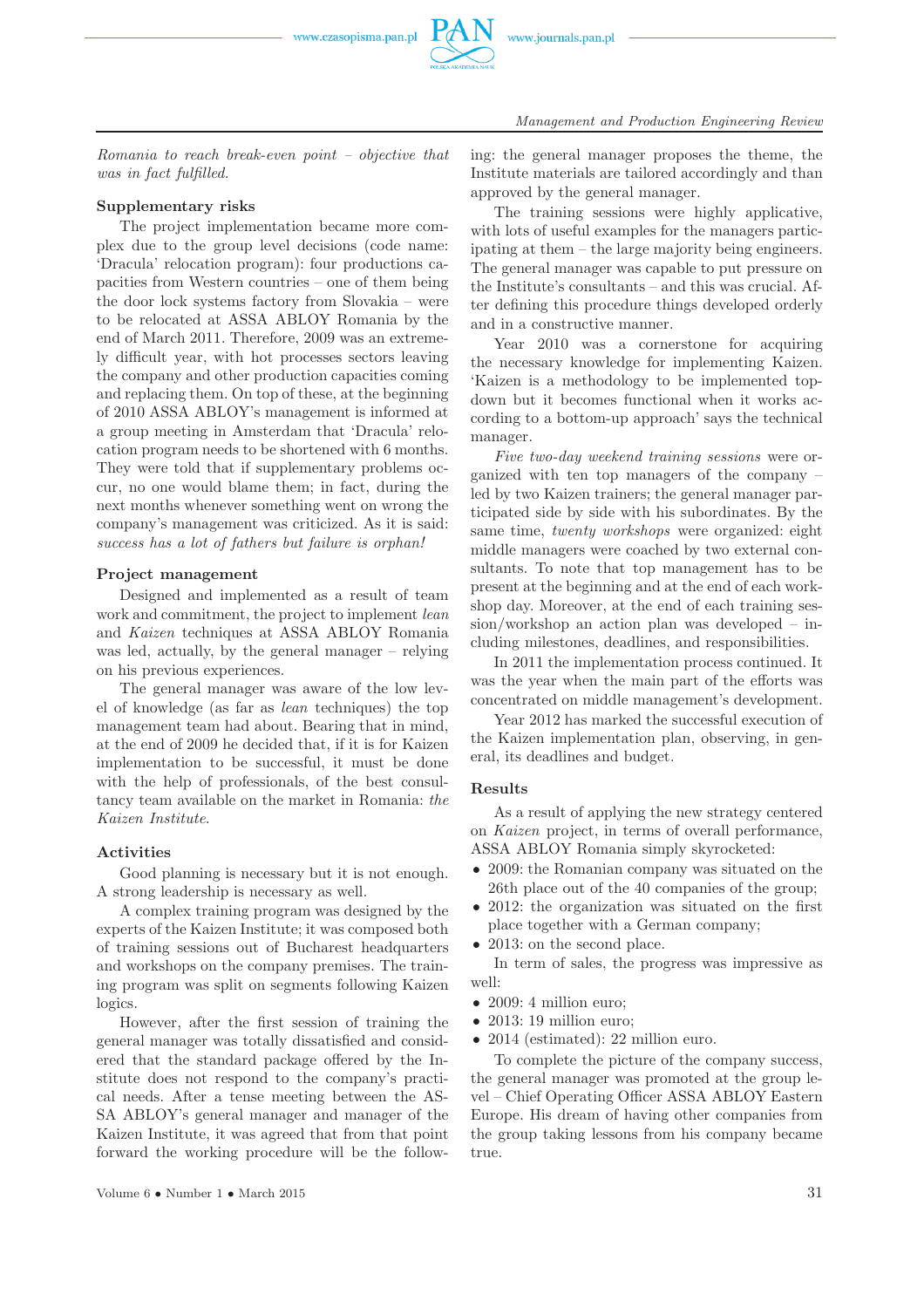*Management and Production Engineering Review*

*Romania to reach break-even point – objective that was in fact fulfilled.*

#### **Supplementary risks**

The project implementation became more complex due to the group level decisions (code name: 'Dracula' relocation program): four productions capacities from Western countries – one of them being the door lock systems factory from Slovakia – were to be relocated at ASSA ABLOY Romania by the end of March 2011. Therefore, 2009 was an extremely difficult year, with hot processes sectors leaving the company and other production capacities coming and replacing them. On top of these, at the beginning of 2010 ASSA ABLOY's management is informed at a group meeting in Amsterdam that 'Dracula' relocation program needs to be shortened with 6 months. They were told that if supplementary problems occur, no one would blame them; in fact, during the next months whenever something went on wrong the company's management was criticized. As it is said: *success has a lot of fathers but failure is orphan!*

#### **Project management**

Designed and implemented as a result of team work and commitment, the project to implement *lean* and *Kaizen* techniques at ASSA ABLOY Romania was led, actually, by the general manager – relying on his previous experiences.

The general manager was aware of the low level of knowledge (as far as *lean* techniques) the top management team had about. Bearing that in mind, at the end of 2009 he decided that, if it is for Kaizen implementation to be successful, it must be done with the help of professionals, of the best consultancy team available on the market in Romania: *the Kaizen Institute*.

#### **Activities**

Good planning is necessary but it is not enough. A strong leadership is necessary as well.

A complex training program was designed by the experts of the Kaizen Institute; it was composed both of training sessions out of Bucharest headquarters and workshops on the company premises. The training program was split on segments following Kaizen logics.

However, after the first session of training the general manager was totally dissatisfied and considered that the standard package offered by the Institute does not respond to the company's practical needs. After a tense meeting between the AS-SA ABLOY's general manager and manager of the Kaizen Institute, it was agreed that from that point forward the working procedure will be the following: the general manager proposes the theme, the Institute materials are tailored accordingly and than approved by the general manager.

The training sessions were highly applicative, with lots of useful examples for the managers participating at them – the large majority being engineers. The general manager was capable to put pressure on the Institute's consultants – and this was crucial. After defining this procedure things developed orderly and in a constructive manner.

Year 2010 was a cornerstone for acquiring the necessary knowledge for implementing Kaizen. 'Kaizen is a methodology to be implemented topdown but it becomes functional when it works according to a bottom-up approach' says the technical manager.

*Five two-day weekend training sessions* were organized with ten top managers of the company – led by two Kaizen trainers; the general manager participated side by side with his subordinates. By the same time, *twenty workshops* were organized: eight middle managers were coached by two external consultants. To note that top management has to be present at the beginning and at the end of each workshop day. Moreover, at the end of each training session/workshop an action plan was developed – including milestones, deadlines, and responsibilities.

In 2011 the implementation process continued. It was the year when the main part of the efforts was concentrated on middle management's development.

Year 2012 has marked the successful execution of the Kaizen implementation plan, observing, in general, its deadlines and budget.

#### **Results**

As a result of applying the new strategy centered on *Kaizen* project, in terms of overall performance, ASSA ABLOY Romania simply skyrocketed:

- 2009: the Romanian company was situated on the 26th place out of the 40 companies of the group;
- 2012: the organization was situated on the first place together with a German company;
- 2013: on the second place.

In term of sales, the progress was impressive as well:

- 2009: 4 million euro;
- 2013: 19 million euro;
- 2014 (estimated): 22 million euro.

To complete the picture of the company success, the general manager was promoted at the group level – Chief Operating Officer ASSA ABLOY Eastern Europe. His dream of having other companies from the group taking lessons from his company became true.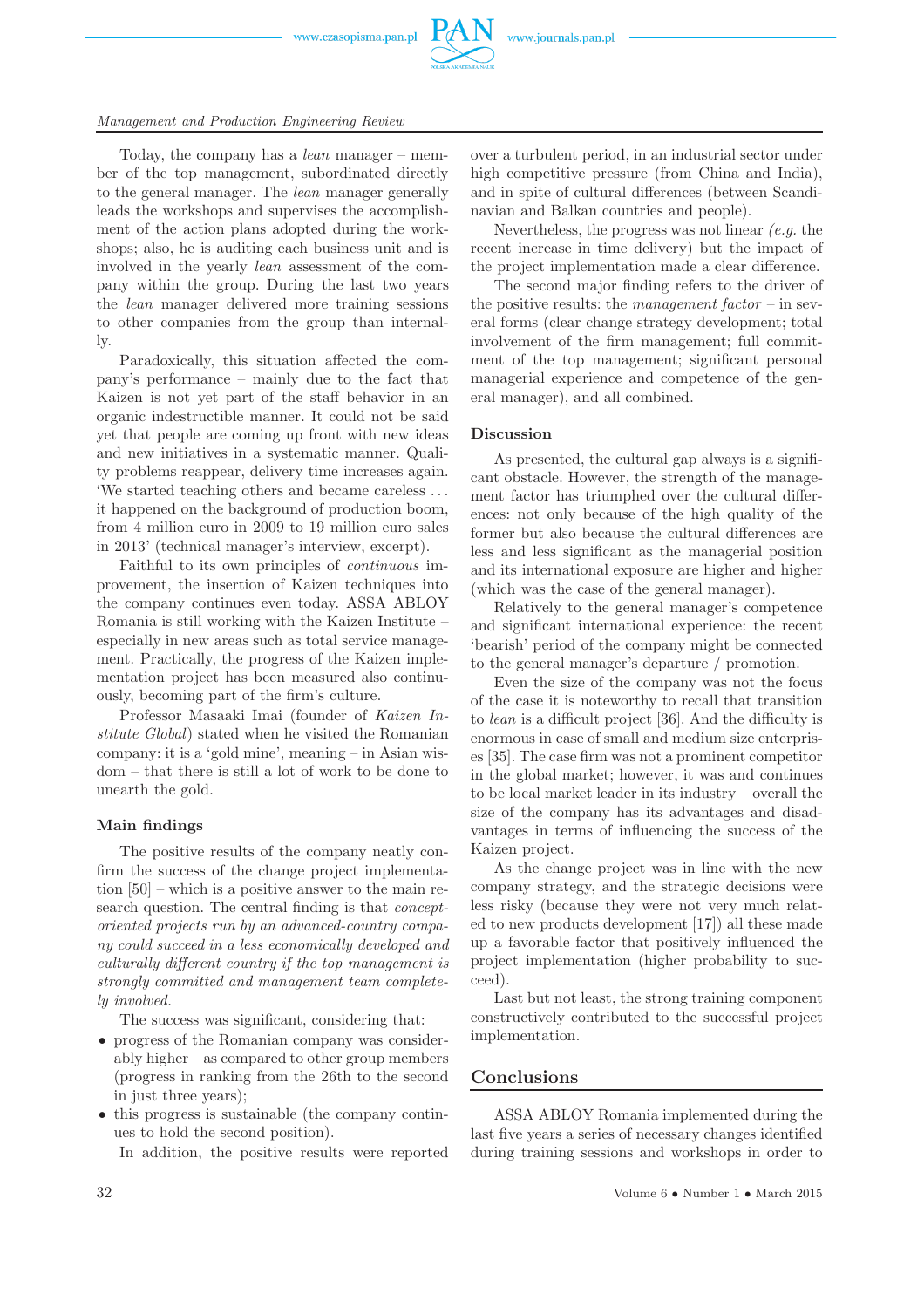



#### *Management and Production Engineering Review*

Today, the company has a *lean* manager – member of the top management, subordinated directly to the general manager. The *lean* manager generally leads the workshops and supervises the accomplishment of the action plans adopted during the workshops; also, he is auditing each business unit and is involved in the yearly *lean* assessment of the company within the group. During the last two years the *lean* manager delivered more training sessions to other companies from the group than internally.

Paradoxically, this situation affected the company's performance – mainly due to the fact that Kaizen is not yet part of the staff behavior in an organic indestructible manner. It could not be said yet that people are coming up front with new ideas and new initiatives in a systematic manner. Quality problems reappear, delivery time increases again. 'We started teaching others and became careless . . . it happened on the background of production boom, from 4 million euro in 2009 to 19 million euro sales in 2013' (technical manager's interview, excerpt).

Faithful to its own principles of *continuous* improvement, the insertion of Kaizen techniques into the company continues even today. ASSA ABLOY Romania is still working with the Kaizen Institute – especially in new areas such as total service management. Practically, the progress of the Kaizen implementation project has been measured also continuously, becoming part of the firm's culture.

Professor Masaaki Imai (founder of *Kaizen Institute Global*) stated when he visited the Romanian company: it is a 'gold mine', meaning – in Asian wisdom – that there is still a lot of work to be done to unearth the gold.

#### **Main findings**

The positive results of the company neatly confirm the success of the change project implementation [50] – which is a positive answer to the main research question. The central finding is that *conceptoriented projects run by an advanced-country company could succeed in a less economically developed and culturally different country if the top management is strongly committed and management team completely involved.*

The success was significant, considering that:

- progress of the Romanian company was considerably higher – as compared to other group members (progress in ranking from the 26th to the second in just three years);
- this progress is sustainable (the company continues to hold the second position).

In addition, the positive results were reported

over a turbulent period, in an industrial sector under high competitive pressure (from China and India), and in spite of cultural differences (between Scandinavian and Balkan countries and people).

Nevertheless, the progress was not linear *(e.g.* the recent increase in time delivery) but the impact of the project implementation made a clear difference.

The second major finding refers to the driver of the positive results: the *management factor* – in several forms (clear change strategy development; total involvement of the firm management; full commitment of the top management; significant personal managerial experience and competence of the general manager), and all combined.

## **Discussion**

As presented, the cultural gap always is a significant obstacle. However, the strength of the management factor has triumphed over the cultural differences: not only because of the high quality of the former but also because the cultural differences are less and less significant as the managerial position and its international exposure are higher and higher (which was the case of the general manager).

Relatively to the general manager's competence and significant international experience: the recent 'bearish' period of the company might be connected to the general manager's departure / promotion.

Even the size of the company was not the focus of the case it is noteworthy to recall that transition to *lean* is a difficult project [36]. And the difficulty is enormous in case of small and medium size enterprises [35]. The case firm was not a prominent competitor in the global market; however, it was and continues to be local market leader in its industry – overall the size of the company has its advantages and disadvantages in terms of influencing the success of the Kaizen project.

As the change project was in line with the new company strategy, and the strategic decisions were less risky (because they were not very much related to new products development [17]) all these made up a favorable factor that positively influenced the project implementation (higher probability to succeed).

Last but not least, the strong training component constructively contributed to the successful project implementation.

## **Conclusions**

ASSA ABLOY Romania implemented during the last five years a series of necessary changes identified during training sessions and workshops in order to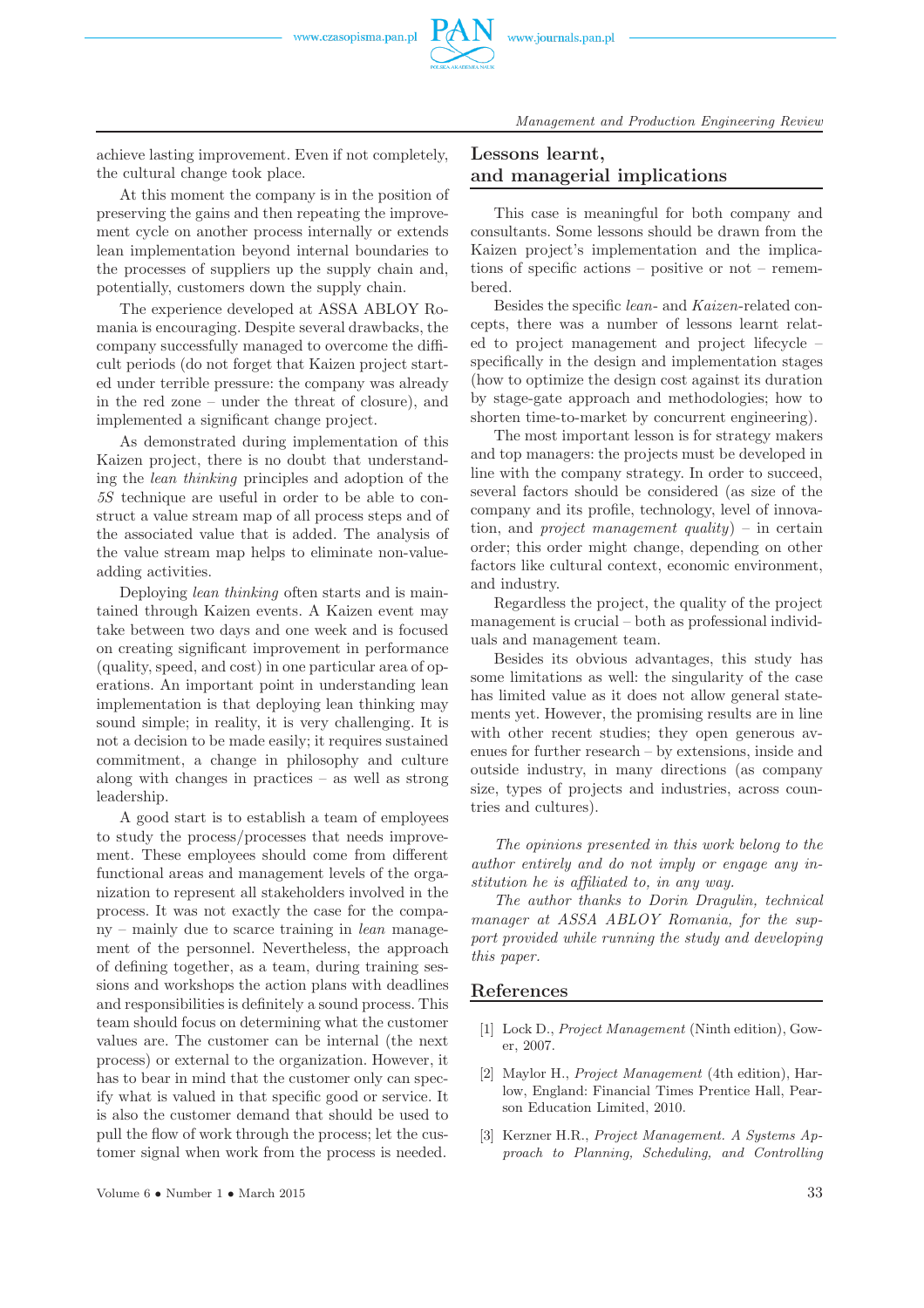achieve lasting improvement. Even if not completely, the cultural change took place.

At this moment the company is in the position of preserving the gains and then repeating the improvement cycle on another process internally or extends lean implementation beyond internal boundaries to the processes of suppliers up the supply chain and, potentially, customers down the supply chain.

The experience developed at ASSA ABLOY Romania is encouraging. Despite several drawbacks, the company successfully managed to overcome the difficult periods (do not forget that Kaizen project started under terrible pressure: the company was already in the red zone – under the threat of closure), and implemented a significant change project.

As demonstrated during implementation of this Kaizen project, there is no doubt that understanding the *lean thinking* principles and adoption of the *5S* technique are useful in order to be able to construct a value stream map of all process steps and of the associated value that is added. The analysis of the value stream map helps to eliminate non-valueadding activities.

Deploying *lean thinking* often starts and is maintained through Kaizen events. A Kaizen event may take between two days and one week and is focused on creating significant improvement in performance (quality, speed, and cost) in one particular area of operations. An important point in understanding lean implementation is that deploying lean thinking may sound simple; in reality, it is very challenging. It is not a decision to be made easily; it requires sustained commitment, a change in philosophy and culture along with changes in practices – as well as strong leadership.

A good start is to establish a team of employees to study the process/processes that needs improvement. These employees should come from different functional areas and management levels of the organization to represent all stakeholders involved in the process. It was not exactly the case for the company – mainly due to scarce training in *lean* management of the personnel. Nevertheless, the approach of defining together, as a team, during training sessions and workshops the action plans with deadlines and responsibilities is definitely a sound process. This team should focus on determining what the customer values are. The customer can be internal (the next process) or external to the organization. However, it has to bear in mind that the customer only can specify what is valued in that specific good or service. It is also the customer demand that should be used to pull the flow of work through the process; let the customer signal when work from the process is needed.

## **Lessons learnt, and managerial implications**

This case is meaningful for both company and consultants. Some lessons should be drawn from the Kaizen project's implementation and the implications of specific actions – positive or not – remembered.

Besides the specific *lean*- and *Kaizen*-related concepts, there was a number of lessons learnt related to project management and project lifecycle – specifically in the design and implementation stages (how to optimize the design cost against its duration by stage-gate approach and methodologies; how to shorten time-to-market by concurrent engineering).

The most important lesson is for strategy makers and top managers: the projects must be developed in line with the company strategy. In order to succeed, several factors should be considered (as size of the company and its profile, technology, level of innovation, and *project management quality*) – in certain order; this order might change, depending on other factors like cultural context, economic environment, and industry.

Regardless the project, the quality of the project management is crucial – both as professional individuals and management team.

Besides its obvious advantages, this study has some limitations as well: the singularity of the case has limited value as it does not allow general statements yet. However, the promising results are in line with other recent studies; they open generous avenues for further research – by extensions, inside and outside industry, in many directions (as company size, types of projects and industries, across countries and cultures).

*The opinions presented in this work belong to the author entirely and do not imply or engage any institution he is affiliated to, in any way.*

*The author thanks to Dorin Dragulin, technical manager at ASSA ABLOY Romania, for the support provided while running the study and developing this paper.*

#### **References**

- [1] Lock D., *Project Management* (Ninth edition), Gower, 2007.
- [2] Maylor H., *Project Management* (4th edition), Harlow, England: Financial Times Prentice Hall, Pearson Education Limited, 2010.
- [3] Kerzner H.R., *Project Management. A Systems Approach to Planning, Scheduling, and Controlling*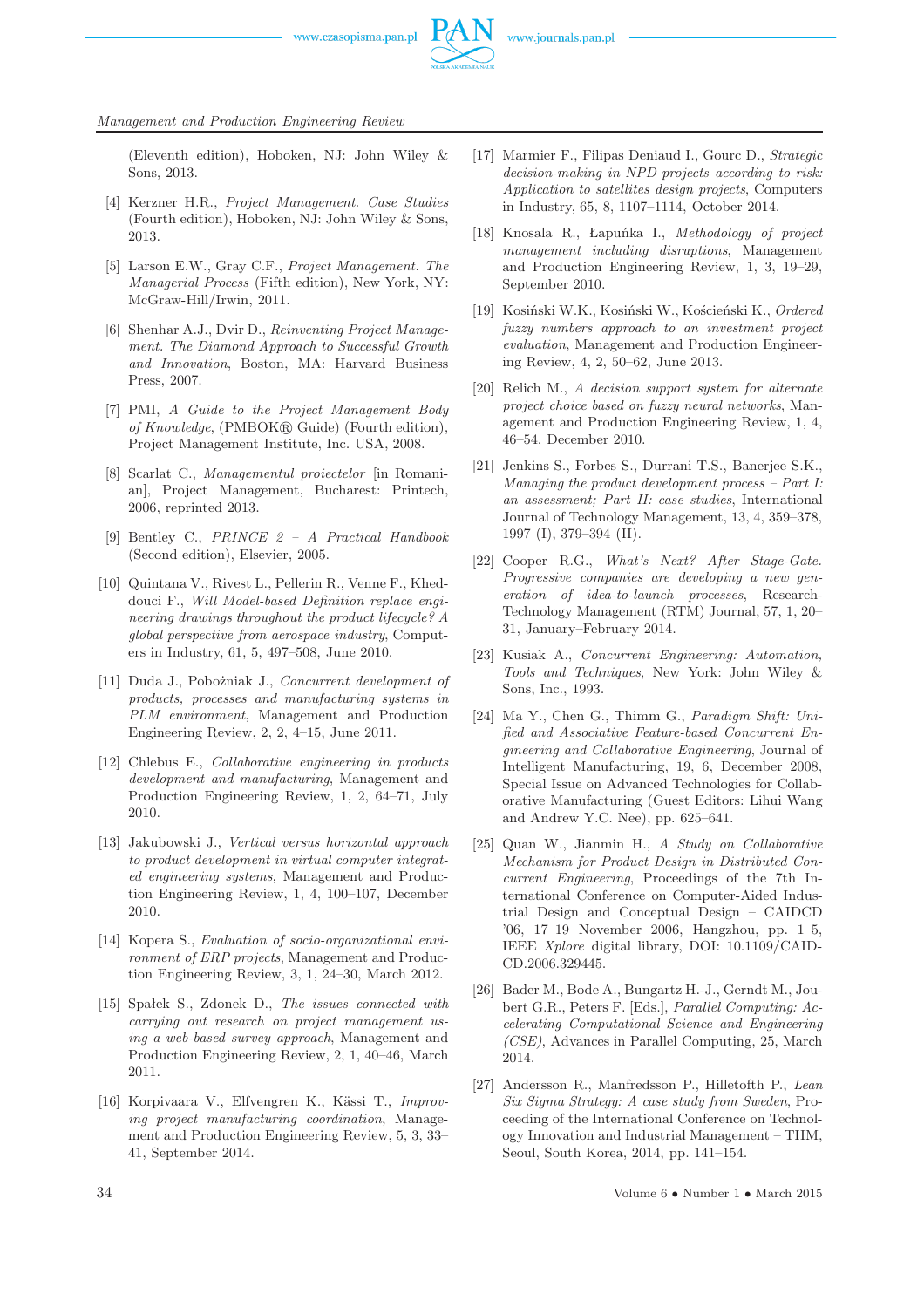*Management and Production Engineering Review*

(Eleventh edition), Hoboken, NJ: John Wiley & Sons, 2013.

- [4] Kerzner H.R., *Project Management. Case Studies* (Fourth edition), Hoboken, NJ: John Wiley & Sons, 2013.
- [5] Larson E.W., Gray C.F., *Project Management. The Managerial Process* (Fifth edition), New York, NY: McGraw-Hill/Irwin, 2011.
- [6] Shenhar A.J., Dvir D., *Reinventing Project Management. The Diamond Approach to Successful Growth and Innovation*, Boston, MA: Harvard Business Press, 2007.
- [7] PMI, *A Guide to the Project Management Body of Knowledge*, (PMBOK®, Guide) (Fourth edition), Project Management Institute, Inc. USA, 2008.
- [8] Scarlat C., *Managementul proiectelor* [in Romanian], Project Management, Bucharest: Printech, 2006, reprinted 2013.
- [9] Bentley C., *PRINCE 2 A Practical Handbook* (Second edition), Elsevier, 2005.
- [10] Quintana V., Rivest L., Pellerin R., Venne F., Kheddouci F., *Will Model-based Definition replace engineering drawings throughout the product lifecycle? A global perspective from aerospace industry*, Computers in Industry, 61, 5, 497–508, June 2010.
- [11] Duda J., Pobożniak J., *Concurrent development of products, processes and manufacturing systems in PLM environment*, Management and Production Engineering Review, 2, 2, 4–15, June 2011.
- [12] Chlebus E., *Collaborative engineering in products development and manufacturing*, Management and Production Engineering Review, 1, 2, 64–71, July 2010.
- [13] Jakubowski J., *Vertical versus horizontal approach to product development in virtual computer integrated engineering systems*, Management and Production Engineering Review, 1, 4, 100–107, December 2010.
- [14] Kopera S., *Evaluation of socio-organizational environment of ERP projects*, Management and Production Engineering Review, 3, 1, 24–30, March 2012.
- [15] Spałek S., Zdonek D., *The issues connected with carrying out research on project management using a web-based survey approach*, Management and Production Engineering Review, 2, 1, 40–46, March 2011.
- [16] Korpivaara V., Elfvengren K., Kässi T., *Improving project manufacturing coordination*, Management and Production Engineering Review, 5, 3, 33– 41, September 2014.
- [17] Marmier F., Filipas Deniaud I., Gourc D., *Strategic decision-making in NPD projects according to risk: Application to satellites design projects*, Computers in Industry, 65, 8, 1107–1114, October 2014.
- [18] Knosala R., Łapuńka I., *Methodology of project management including disruptions*, Management and Production Engineering Review, 1, 3, 19–29, September 2010.
- [19] Kosiński W.K., Kosiński W., Kościeński K., *Ordered fuzzy numbers approach to an investment project evaluation*, Management and Production Engineering Review, 4, 2, 50–62, June 2013.
- [20] Relich M., *A decision support system for alternate project choice based on fuzzy neural networks*, Management and Production Engineering Review, 1, 4, 46–54, December 2010.
- [21] Jenkins S., Forbes S., Durrani T.S., Banerjee S.K., *Managing the product development process – Part I: an assessment; Part II: case studies*, International Journal of Technology Management, 13, 4, 359–378, 1997 (I), 379–394 (II).
- [22] Cooper R.G., *What's Next? After Stage-Gate. Progressive companies are developing a new generation of idea-to-launch processes*, Research-Technology Management (RTM) Journal, 57, 1, 20– 31, January–February 2014.
- [23] Kusiak A., *Concurrent Engineering: Automation, Tools and Techniques*, New York: John Wiley & Sons, Inc., 1993.
- [24] Ma Y., Chen G., Thimm G., *Paradigm Shift: Unified and Associative Feature-based Concurrent Engineering and Collaborative Engineering*, Journal of Intelligent Manufacturing, 19, 6, December 2008, Special Issue on Advanced Technologies for Collaborative Manufacturing (Guest Editors: Lihui Wang and Andrew Y.C. Nee), pp. 625–641.
- [25] Quan W., Jianmin H., *A Study on Collaborative Mechanism for Product Design in Distributed Concurrent Engineering*, Proceedings of the 7th International Conference on Computer-Aided Industrial Design and Conceptual Design – CAIDCD '06, 17–19 November 2006, Hangzhou, pp. 1–5, IEEE *Xplore* digital library, DOI: 10.1109/CAID-CD.2006.329445.
- [26] Bader M., Bode A., Bungartz H.-J., Gerndt M., Joubert G.R., Peters F. [Eds.], *Parallel Computing: Accelerating Computational Science and Engineering (CSE)*, Advances in Parallel Computing, 25, March 2014.
- [27] Andersson R., Manfredsson P., Hilletofth P., *Lean Six Sigma Strategy: A case study from Sweden*, Proceeding of the International Conference on Technology Innovation and Industrial Management – TIIM, Seoul, South Korea, 2014, pp. 141–154.